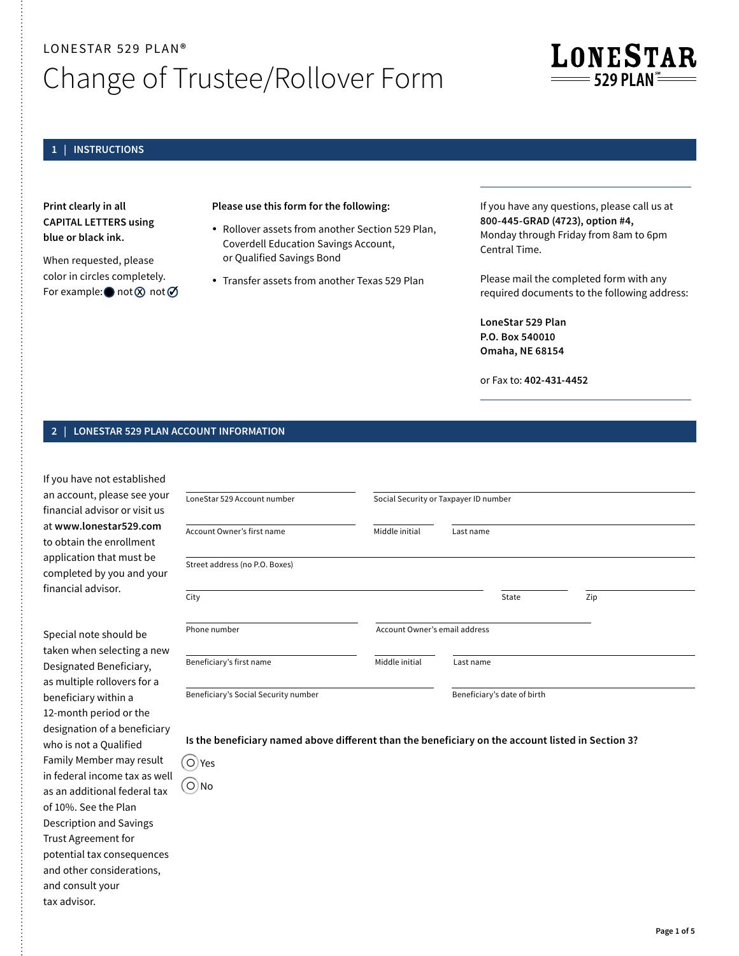# LONESTAR 529 PLAN**®**  Change of Trustee/Rollover Form

## **1 | INSTRUCTIONS**

**Print clearly in all CAPITAL LETTERS using blue or black ink.**

When requested, please color in circles completely. For example:  $\bigcirc$  not  $\varnothing$  not  $\varnothing$ 

## **Please use this form for the following:**

- Rollover assets from another Section 529 Plan, Coverdell Education Savings Account, or Qualified Savings Bond
- Transfer assets from another Texas 529 Plan

If you have any questions, please call us at **800-445-GRAD (4723), option #4,**  Monday through Friday from 8am to 6pm Central Time.

**LONESTAR** 

——— 529 PI AN —

Please mail the completed form with any required documents to the following address:

**LoneStar 529 Plan P.O. Box 540010 Omaha, NE 68154**

or Fax to: **402-431-4452** 

## **2 | LONESTAR 529 PLAN ACCOUNT INFORMATION**

If you have not established an account, please see your financial advisor or visit us at **[www.lonestar529.com](http://www.lonestar529.com)** to obtain the enrollment application that must be completed by you and your financial advisor.

Special note should be taken when selecting a new Designated Beneficiary, as multiple rollovers for a beneficiary within a 12-month period or the designation of a beneficiary who is not a Qualified Family Member may result in federal income tax as well as an additional federal tax of 10%. See the Plan Description and Savings Trust Agreement for potential tax consequences and other considerations, and consult your tax advisor.

| LoneStar 529 Account number          | Social Security or Taxpayer ID number |                             |  |     |  |
|--------------------------------------|---------------------------------------|-----------------------------|--|-----|--|
| Account Owner's first name           | Middle initial                        | Last name                   |  |     |  |
| Street address (no P.O. Boxes)       |                                       |                             |  |     |  |
| City                                 |                                       | State                       |  | Zip |  |
| Phone number                         | Account Owner's email address         |                             |  |     |  |
| Beneficiary's first name             | Middle initial                        | Last name                   |  |     |  |
| Beneficiary's Social Security number |                                       | Beneficiary's date of birth |  |     |  |

## **Is the beneficiary named above different than the beneficiary on the account listed in Section 3?**

• Yes • No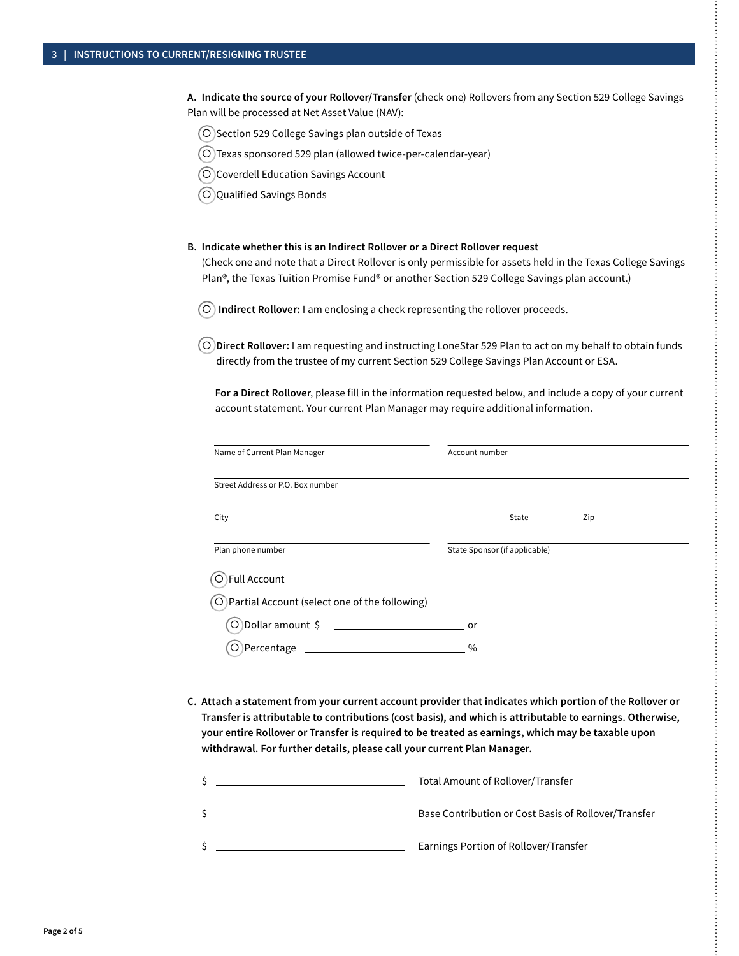**A. Indicate the source of your Rollover/Transfer** (check one) Rollovers from any Section 529 College Savings Plan will be processed at Net Asset Value (NAV):

- Section 529 College Savings plan outside of Texas
- Texas sponsored 529 plan (allowed twice-per-calendar-year)
- O Coverdell Education Savings Account
- Qualified Savings Bonds

#### **B. Indicate whether this is an Indirect Rollover or a Direct Rollover request**

(Check one and note that a Direct Rollover is only permissible for assets held in the Texas College Savings Plan<sup>®</sup>, the Texas Tuition Promise Fund® or another Section 529 College Savings plan account.)

• **Indirect Rollover:** I am enclosing a check representing the rollover proceeds.

• **Direct Rollover:** I am requesting and instructing LoneStar 529 Plan to act on my behalf to obtain funds directly from the trustee of my current Section 529 College Savings Plan Account or ESA.

**For a Direct Rollover**, please fill in the information requested below, and include a copy of your current account statement. Your current Plan Manager may require additional information.

| Name of Current Plan Manager                             | Account number |                               |     |  |
|----------------------------------------------------------|----------------|-------------------------------|-----|--|
| Street Address or P.O. Box number                        |                |                               |     |  |
| City                                                     |                | State                         | Zip |  |
| Plan phone number                                        |                | State Sponsor (if applicable) |     |  |
| Full Account                                             |                |                               |     |  |
| $\bigcirc$ Partial Account (select one of the following) |                |                               |     |  |
| $\circ$ Dollar amount \$                                 | or             |                               |     |  |
| Percentage                                               | $\%$           |                               |     |  |

**C. Attach a statement from your current account provider that indicates which portion of the Rollover or Transfer is attributable to contributions (cost basis), and which is attributable to earnings. Otherwise, your entire Rollover or Transfer is required to be treated as earnings, which may be taxable upon withdrawal. For further details, please call your current Plan Manager.**

| Total Amount of Rollover/Transfer                    |
|------------------------------------------------------|
| Base Contribution or Cost Basis of Rollover/Transfer |
| Earnings Portion of Rollover/Transfer                |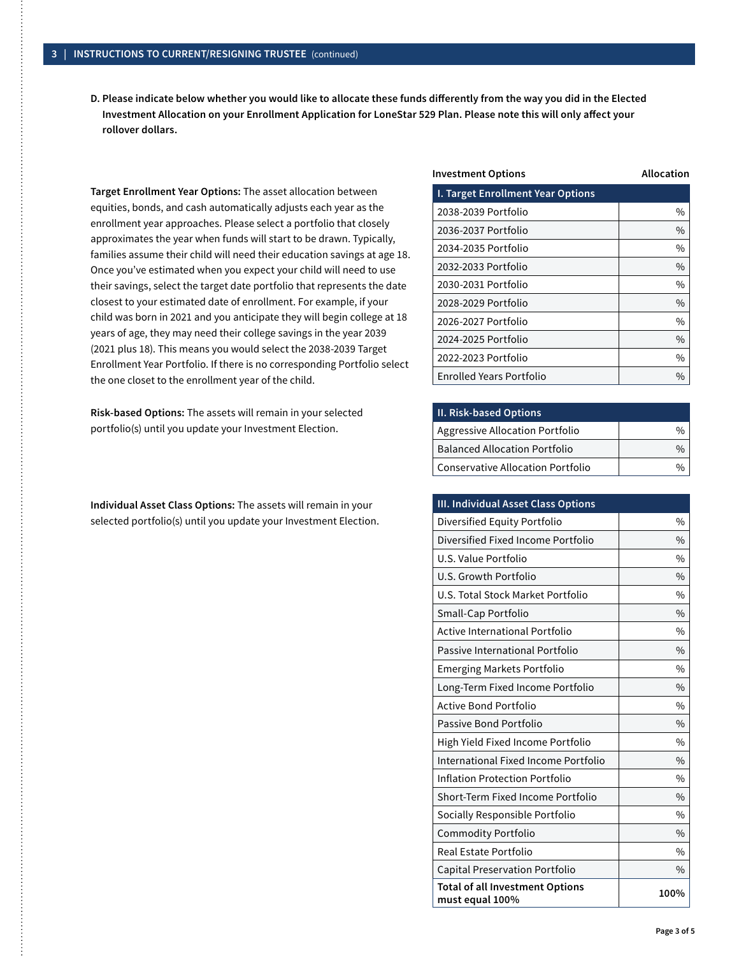**D. Please indicate below whether you would like to allocate these funds differently from the way you did in the Elected Investment Allocation on your Enrollment Application for LoneStar 529 Plan. Please note this will only affect your rollover dollars.** 

**Target Enrollment Year Options:** The asset allocation between equities, bonds, and cash automatically adjusts each year as the enrollment year approaches. Please select a portfolio that closely approximates the year when funds will start to be drawn. Typically, families assume their child will need their education savings at age 18. Once you've estimated when you expect your child will need to use their savings, select the target date portfolio that represents the date closest to your estimated date of enrollment. For example, if your child was born in 2021 and you anticipate they will begin college at 18 years of age, they may need their college savings in the year 2039 (2021 plus 18). This means you would select the 2038-2039 Target Enrollment Year Portfolio. If there is no corresponding Portfolio select the one closet to the enrollment year of the child.

**Risk-based Options:** The assets will remain in your selected portfolio(s) until you update your Investment Election.

**Individual Asset Class Options:** The assets will remain in your selected portfolio(s) until you update your Investment Election.

| <b>Investment Options</b>                | Allocation |  |  |
|------------------------------------------|------------|--|--|
| <b>I. Target Enrollment Year Options</b> |            |  |  |
| 2038-2039 Portfolio                      | $\%$       |  |  |
| 2036-2037 Portfolio                      | $\%$       |  |  |
| 2034-2035 Portfolio                      | $\%$       |  |  |
| 2032-2033 Portfolio                      | $\%$       |  |  |
| 2030-2031 Portfolio                      | $\%$       |  |  |
| 2028-2029 Portfolio                      | $\%$       |  |  |
| 2026-2027 Portfolio                      | $\%$       |  |  |
| 2024-2025 Portfolio                      | $\%$       |  |  |
| 2022-2023 Portfolio                      | $\%$       |  |  |
| <b>Enrolled Years Portfolio</b>          | $\%$       |  |  |

| <b>II. Risk-based Options</b>        |               |
|--------------------------------------|---------------|
| Aggressive Allocation Portfolio      |               |
| <b>Balanced Allocation Portfolio</b> | $\frac{0}{0}$ |
| Conservative Allocation Portfolio    | 0/2           |

| III. Individual Asset Class Options                       |               |
|-----------------------------------------------------------|---------------|
| Diversified Equity Portfolio                              | $\%$          |
| Diversified Fixed Income Portfolio                        | $\frac{0}{0}$ |
| U.S. Value Portfolio                                      | $\%$          |
| U.S. Growth Portfolio                                     | $\frac{0}{0}$ |
| U.S. Total Stock Market Portfolio                         | $\%$          |
| Small-Cap Portfolio                                       | $\frac{0}{0}$ |
| <b>Active International Portfolio</b>                     | $\%$          |
| Passive International Portfolio                           | $\frac{0}{0}$ |
| <b>Emerging Markets Portfolio</b>                         | $\%$          |
| Long-Term Fixed Income Portfolio                          | $\frac{0}{0}$ |
| <b>Active Bond Portfolio</b>                              | $\%$          |
| Passive Bond Portfolio                                    | $\%$          |
| High Yield Fixed Income Portfolio                         | $\%$          |
| International Fixed Income Portfolio                      | $\%$          |
| Inflation Protection Portfolio                            | $\%$          |
| Short-Term Fixed Income Portfolio                         | $\frac{0}{0}$ |
| Socially Responsible Portfolio                            | $\%$          |
| Commodity Portfolio                                       | $\frac{0}{0}$ |
| Real Estate Portfolio                                     | $\%$          |
| <b>Capital Preservation Portfolio</b>                     | $\frac{0}{0}$ |
| <b>Total of all Investment Options</b><br>must equal 100% | 100%          |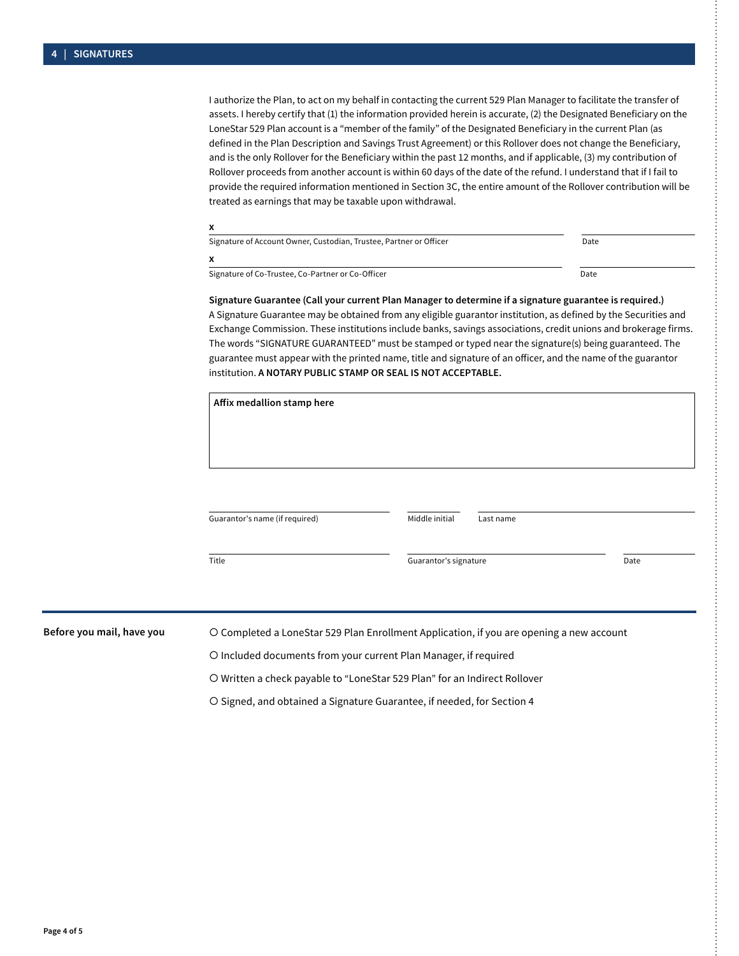I authorize the Plan, to act on my behalf in contacting the current 529 Plan Manager to facilitate the transfer of assets. I hereby certify that (1) the information provided herein is accurate, (2) the Designated Beneficiary on the LoneStar 529 Plan account is a "member of the family" of the Designated Beneficiary in the current Plan (as defined in the Plan Description and Savings Trust Agreement) or this Rollover does not change the Beneficiary, and is the only Rollover for the Beneficiary within the past 12 months, and if applicable, (3) my contribution of Rollover proceeds from another account is within 60 days of the date of the refund. I understand that if I fail to provide the required information mentioned in Section 3C, the entire amount of the Rollover contribution will be treated as earnings that may be taxable upon withdrawal.

| Signature of Account Owner, Custodian, Trustee, Partner or Officer | Date |  |
|--------------------------------------------------------------------|------|--|
|                                                                    |      |  |
| Signature of Co-Trustee, Co-Partner or Co-Officer                  | Date |  |

**Signature Guarantee (Call your current Plan Manager to determine if a signature guarantee is required.)** A Signature Guarantee may be obtained from any eligible guarantor institution, as defined by the Securities and Exchange Commission. These institutions include banks, savings associations, credit unions and brokerage firms. The words "SIGNATURE GUARANTEED" must be stamped or typed near the signature(s) being guaranteed. The guarantee must appear with the printed name, title and signature of an officer, and the name of the guarantor institution. **A NOTARY PUBLIC STAMP OR SEAL IS NOT ACCEPTABLE.** 

|                           | Affix medallion stamp here                                                               |                       |           |      |
|---------------------------|------------------------------------------------------------------------------------------|-----------------------|-----------|------|
|                           |                                                                                          |                       |           |      |
|                           |                                                                                          |                       |           |      |
|                           |                                                                                          |                       |           |      |
|                           | Guarantor's name (if required)                                                           | Middle initial        | Last name |      |
|                           | Title                                                                                    | Guarantor's signature |           | Date |
|                           |                                                                                          |                       |           |      |
| Before you mail, have you | O Completed a LoneStar 529 Plan Enrollment Application, if you are opening a new account |                       |           |      |
|                           | O Included documents from your current Plan Manager, if required                         |                       |           |      |

• Written a check payable to "LoneStar 529 Plan" for an Indirect Rollover

• Signed, and obtained a Signature Guarantee, if needed, for Section 4